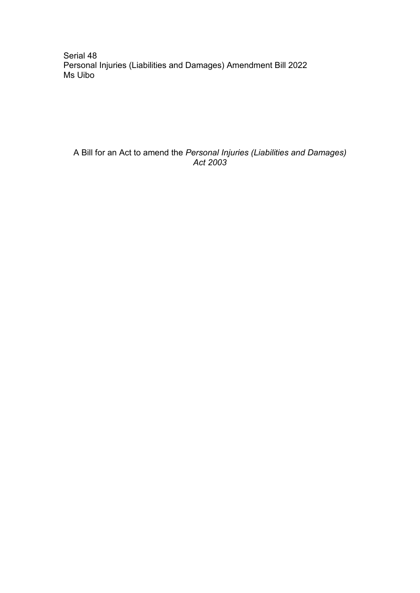Serial 48 Personal Injuries (Liabilities and Damages) Amendment Bill 2022 Ms Uibo

A Bill for an Act to amend the *Personal Injuries (Liabilities and Damages) Act 2003*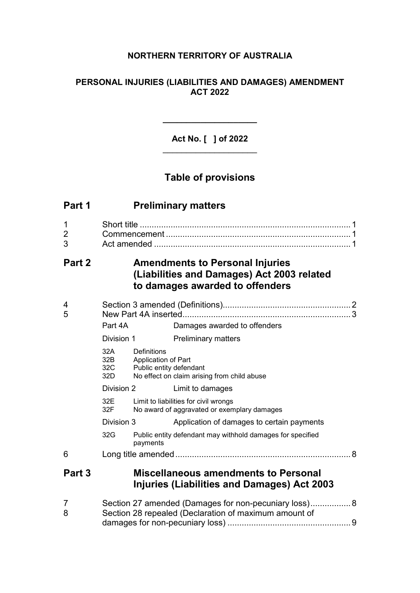# **NORTHERN TERRITORY OF AUSTRALIA**

# **PERSONAL INJURIES (LIABILITIES AND DAMAGES) AMENDMENT ACT 2022**

**Act No. [ ] of 2022**  $\overline{\phantom{a}}$  , where  $\overline{\phantom{a}}$  , where  $\overline{\phantom{a}}$  , where  $\overline{\phantom{a}}$ 

**\_\_\_\_\_\_\_\_\_\_\_\_\_\_\_\_\_\_\_\_**

# **Table of provisions**

| Part 1 | <b>Preliminary matters</b> |
|--------|----------------------------|
|--------|----------------------------|

| 1<br>2<br>3       |                                                                                                                         |                                                               |                                                            |  |
|-------------------|-------------------------------------------------------------------------------------------------------------------------|---------------------------------------------------------------|------------------------------------------------------------|--|
| Part 2            | <b>Amendments to Personal Injuries</b><br>(Liabilities and Damages) Act 2003 related<br>to damages awarded to offenders |                                                               |                                                            |  |
| 4<br>5            | Part 4A                                                                                                                 |                                                               | Damages awarded to offenders                               |  |
|                   | Division 1                                                                                                              |                                                               | <b>Preliminary matters</b>                                 |  |
|                   | 32A<br>32B<br>32C<br>32D                                                                                                | Definitions<br>Application of Part<br>Public entity defendant | No effect on claim arising from child abuse                |  |
|                   | Division 2                                                                                                              |                                                               | Limit to damages                                           |  |
|                   | 32E<br>Limit to liabilities for civil wrongs<br>32F<br>No award of aggravated or exemplary damages                      |                                                               |                                                            |  |
|                   | Division 3                                                                                                              |                                                               | Application of damages to certain payments                 |  |
|                   | 32G                                                                                                                     | payments                                                      | Public entity defendant may withhold damages for specified |  |
| 6                 |                                                                                                                         |                                                               |                                                            |  |
| Part <sub>3</sub> | <b>Miscellaneous amendments to Personal</b><br><b>Injuries (Liabilities and Damages) Act 2003</b>                       |                                                               |                                                            |  |
| 7<br>8            | Section 27 amended (Damages for non-pecuniary loss) 8<br>Section 28 repealed (Declaration of maximum amount of          |                                                               |                                                            |  |

damages for non-pecuniary loss) .................................................... 9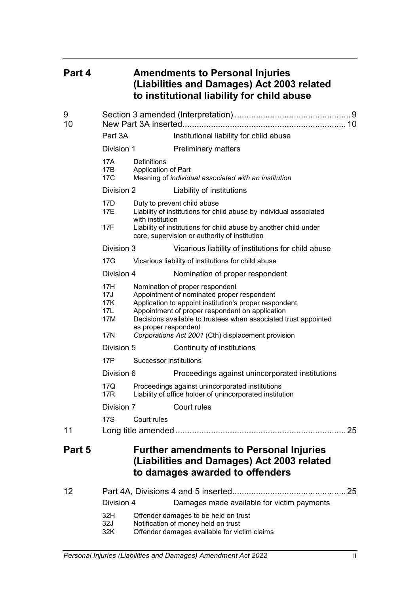# **Part 4 Amendments to Personal Injuries (Liabilities and Damages) Act 2003 related to institutional liability for child abuse**

| 9<br>10 |                                                                                                                                                                                                                                                                                                                                                                                       |                                                                                                                                                                                                                                            |                                                                                                                                 |    |
|---------|---------------------------------------------------------------------------------------------------------------------------------------------------------------------------------------------------------------------------------------------------------------------------------------------------------------------------------------------------------------------------------------|--------------------------------------------------------------------------------------------------------------------------------------------------------------------------------------------------------------------------------------------|---------------------------------------------------------------------------------------------------------------------------------|----|
|         | Part 3A                                                                                                                                                                                                                                                                                                                                                                               |                                                                                                                                                                                                                                            | Institutional liability for child abuse                                                                                         |    |
|         | Division 1                                                                                                                                                                                                                                                                                                                                                                            |                                                                                                                                                                                                                                            | <b>Preliminary matters</b>                                                                                                      |    |
|         | <b>Definitions</b><br>17A<br>17B<br>Application of Part<br>17C                                                                                                                                                                                                                                                                                                                        |                                                                                                                                                                                                                                            | Meaning of individual associated with an institution                                                                            |    |
|         | Division 2                                                                                                                                                                                                                                                                                                                                                                            |                                                                                                                                                                                                                                            | Liability of institutions                                                                                                       |    |
|         | 17D<br>17E                                                                                                                                                                                                                                                                                                                                                                            | Duty to prevent child abuse<br>Liability of institutions for child abuse by individual associated<br>with institution<br>Liability of institutions for child abuse by another child under<br>care, supervision or authority of institution |                                                                                                                                 |    |
|         | 17F                                                                                                                                                                                                                                                                                                                                                                                   |                                                                                                                                                                                                                                            |                                                                                                                                 |    |
|         | Division 3                                                                                                                                                                                                                                                                                                                                                                            |                                                                                                                                                                                                                                            | Vicarious liability of institutions for child abuse                                                                             |    |
|         | 17G                                                                                                                                                                                                                                                                                                                                                                                   |                                                                                                                                                                                                                                            | Vicarious liability of institutions for child abuse                                                                             |    |
|         | Division 4                                                                                                                                                                                                                                                                                                                                                                            |                                                                                                                                                                                                                                            | Nomination of proper respondent                                                                                                 |    |
|         | 17H<br>Nomination of proper respondent<br>17J<br>Appointment of nominated proper respondent<br>17K<br>Application to appoint institution's proper respondent<br>Appointment of proper respondent on application<br>17L<br>Decisions available to trustees when associated trust appointed<br>17M<br>as proper respondent<br>17N<br>Corporations Act 2001 (Cth) displacement provision |                                                                                                                                                                                                                                            |                                                                                                                                 |    |
|         | Division 5                                                                                                                                                                                                                                                                                                                                                                            |                                                                                                                                                                                                                                            | Continuity of institutions                                                                                                      |    |
|         | 17P                                                                                                                                                                                                                                                                                                                                                                                   | Successor institutions                                                                                                                                                                                                                     |                                                                                                                                 |    |
|         | Division 6                                                                                                                                                                                                                                                                                                                                                                            |                                                                                                                                                                                                                                            | Proceedings against unincorporated institutions                                                                                 |    |
|         | 17Q<br>17R                                                                                                                                                                                                                                                                                                                                                                            |                                                                                                                                                                                                                                            | Proceedings against unincorporated institutions<br>Liability of office holder of unincorporated institution                     |    |
|         | Division 7                                                                                                                                                                                                                                                                                                                                                                            |                                                                                                                                                                                                                                            | Court rules                                                                                                                     |    |
|         | 17S                                                                                                                                                                                                                                                                                                                                                                                   | Court rules                                                                                                                                                                                                                                |                                                                                                                                 |    |
| 11      |                                                                                                                                                                                                                                                                                                                                                                                       |                                                                                                                                                                                                                                            |                                                                                                                                 | 25 |
| Part 5  |                                                                                                                                                                                                                                                                                                                                                                                       |                                                                                                                                                                                                                                            | <b>Further amendments to Personal Injuries</b><br>(Liabilities and Damages) Act 2003 related<br>to damages awarded to offenders |    |
| 12      | Division 4                                                                                                                                                                                                                                                                                                                                                                            |                                                                                                                                                                                                                                            | Damages made available for victim payments                                                                                      |    |
|         | 32H<br>32J                                                                                                                                                                                                                                                                                                                                                                            |                                                                                                                                                                                                                                            | Offender damages to be held on trust<br>Notification of money held on trust                                                     |    |

32K Offender damages available for victim claims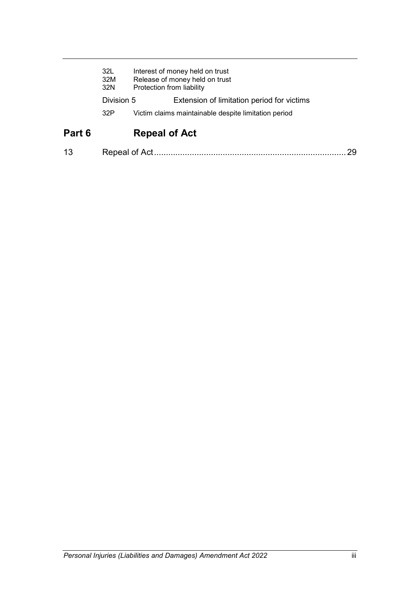|                   | <b>Repeal of Act</b>                                                                           |
|-------------------|------------------------------------------------------------------------------------------------|
| 32P               | Victim claims maintainable despite limitation period                                           |
| Division 5        | Extension of limitation period for victims                                                     |
| 32L<br>32M<br>32N | Interest of money held on trust<br>Release of money held on trust<br>Protection from liability |
|                   |                                                                                                |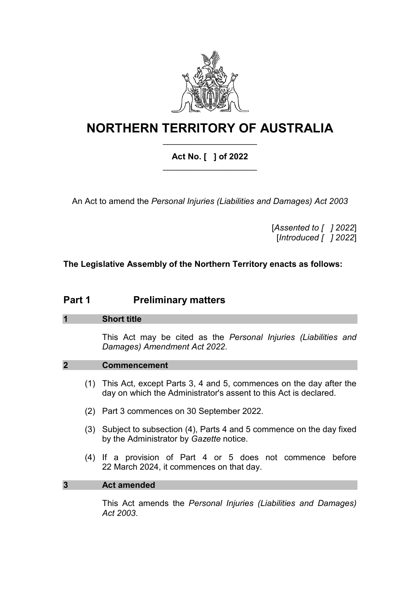

# **NORTHERN TERRITORY OF AUSTRALIA** \_\_\_\_\_\_\_\_\_\_\_\_\_\_\_\_\_\_\_\_

# **Act No. [ ] of 2022**  \_\_\_\_\_\_\_\_\_\_\_\_\_\_\_\_\_\_\_\_

An Act to amend the *Personal Injuries (Liabilities and Damages) Act 2003*

[*Assented to [ ] 2022*] [*Introduced [ ] 2022*]

**The Legislative Assembly of the Northern Territory enacts as follows:**

# **Part 1 Preliminary matters**

#### **1 Short title**

This Act may be cited as the *Personal Injuries (Liabilities and Damages) Amendment Act 2022*.

#### **2 Commencement**

- (1) This Act, except Parts 3, 4 and 5, commences on the day after the day on which the Administrator's assent to this Act is declared.
- (2) Part 3 commences on 30 September 2022.
- (3) Subject to subsection (4), Parts 4 and 5 commence on the day fixed by the Administrator by *Gazette* notice.
- (4) If a provision of Part 4 or 5 does not commence before 22 March 2024, it commences on that day.

#### **3 Act amended**

This Act amends the *Personal Injuries (Liabilities and Damages) Act 2003*.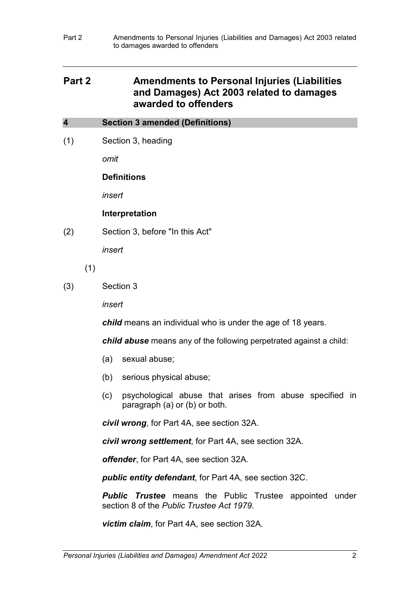# **Part 2 Amendments to Personal Injuries (Liabilities and Damages) Act 2003 related to damages awarded to offenders**

**4 Section 3 amended (Definitions)**

(1) Section 3, heading

*omit*

#### **Definitions**

*insert*

#### **Interpretation**

(2) Section 3, before "In this Act"

*insert*

- (1)
- (3) Section 3

*insert*

*child* means an individual who is under the age of 18 years.

*child abuse* means any of the following perpetrated against a child:

- (a) sexual abuse;
- (b) serious physical abuse;
- (c) psychological abuse that arises from abuse specified in paragraph (a) or (b) or both.

*civil wrong*, for Part 4A, see section 32A.

*civil wrong settlement*, for Part 4A, see section 32A.

*offender*, for Part 4A, see section 32A.

*public entity defendant*, for Part 4A, see section 32C.

**Public Trustee** means the Public Trustee appointed under section 8 of the *Public Trustee Act 1979*.

*victim claim*, for Part 4A, see section 32A.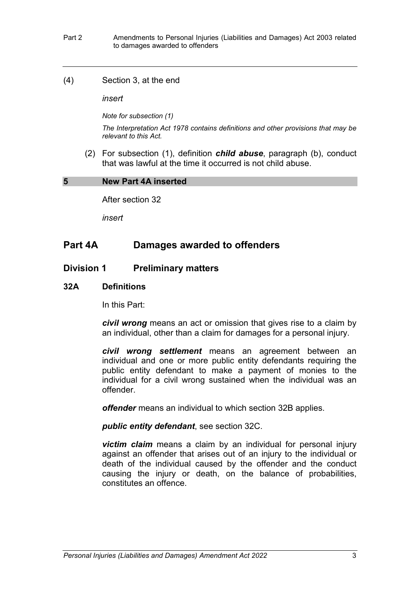(4) Section 3, at the end

*insert*

*Note for subsection (1)*

*The Interpretation Act 1978 contains definitions and other provisions that may be relevant to this Act.*

(2) For subsection (1), definition *child abuse*, paragraph (b), conduct that was lawful at the time it occurred is not child abuse.

#### **5 New Part 4A inserted**

After section 32

*insert*

# **Part 4A Damages awarded to offenders**

### **Division 1 Preliminary matters**

#### **32A Definitions**

In this Part:

*civil wrong* means an act or omission that gives rise to a claim by an individual, other than a claim for damages for a personal injury.

*civil wrong settlement* means an agreement between an individual and one or more public entity defendants requiring the public entity defendant to make a payment of monies to the individual for a civil wrong sustained when the individual was an offender.

*offender* means an individual to which section 32B applies.

*public entity defendant*, see section 32C.

*victim claim* means a claim by an individual for personal injury against an offender that arises out of an injury to the individual or death of the individual caused by the offender and the conduct causing the injury or death, on the balance of probabilities, constitutes an offence.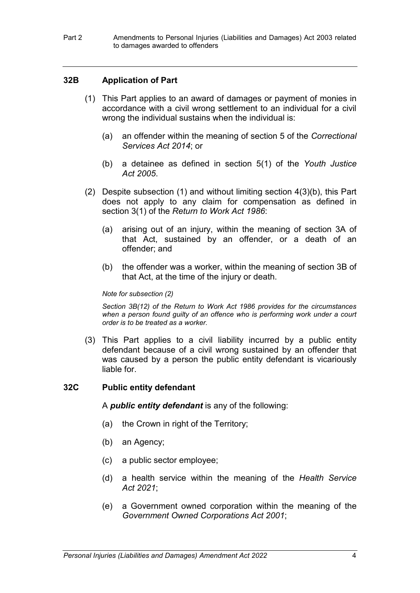#### **32B Application of Part**

- (1) This Part applies to an award of damages or payment of monies in accordance with a civil wrong settlement to an individual for a civil wrong the individual sustains when the individual is:
	- (a) an offender within the meaning of section 5 of the *Correctional Services Act 2014*; or
	- (b) a detainee as defined in section 5(1) of the *Youth Justice Act 2005*.
- (2) Despite subsection (1) and without limiting section 4(3)(b), this Part does not apply to any claim for compensation as defined in section 3(1) of the *Return to Work Act 1986*:
	- (a) arising out of an injury, within the meaning of section 3A of that Act, sustained by an offender, or a death of an offender; and
	- (b) the offender was a worker, within the meaning of section 3B of that Act, at the time of the injury or death.

#### *Note for subsection (2)*

*Section 3B(12) of the Return to Work Act 1986 provides for the circumstances*  when a person found guilty of an offence who is performing work under a court *order is to be treated as a worker.*

(3) This Part applies to a civil liability incurred by a public entity defendant because of a civil wrong sustained by an offender that was caused by a person the public entity defendant is vicariously liable for.

#### **32C Public entity defendant**

A *public entity defendant* is any of the following:

- (a) the Crown in right of the Territory;
- (b) an Agency;
- (c) a public sector employee;
- (d) a health service within the meaning of the *Health Service Act 2021*;
- (e) a Government owned corporation within the meaning of the *Government Owned Corporations Act 2001*;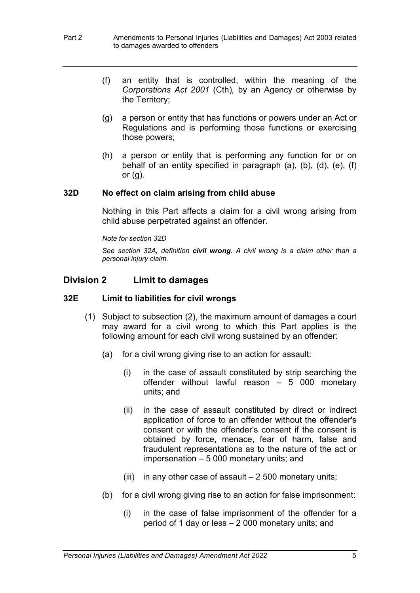- (f) an entity that is controlled, within the meaning of the *Corporations Act 2001* (Cth)*,* by an Agency or otherwise by the Territory;
- (g) a person or entity that has functions or powers under an Act or Regulations and is performing those functions or exercising those powers;
- (h) a person or entity that is performing any function for or on behalf of an entity specified in paragraph (a), (b), (d), (e), (f) or  $(q)$ .

#### **32D No effect on claim arising from child abuse**

Nothing in this Part affects a claim for a civil wrong arising from child abuse perpetrated against an offender.

*Note for section 32D*

*See section 32A, definition civil wrong. A civil wrong is a claim other than a personal injury claim.*

# **Division 2 Limit to damages**

#### **32E Limit to liabilities for civil wrongs**

- (1) Subject to subsection (2), the maximum amount of damages a court may award for a civil wrong to which this Part applies is the following amount for each civil wrong sustained by an offender:
	- (a) for a civil wrong giving rise to an action for assault:
		- (i) in the case of assault constituted by strip searching the offender without lawful reason – 5 000 monetary units; and
		- (ii) in the case of assault constituted by direct or indirect application of force to an offender without the offender's consent or with the offender's consent if the consent is obtained by force, menace, fear of harm, false and fraudulent representations as to the nature of the act or impersonation – 5 000 monetary units; and
		- (iii) in any other case of assault  $-2$  500 monetary units;
	- (b) for a civil wrong giving rise to an action for false imprisonment:
		- (i) in the case of false imprisonment of the offender for a period of 1 day or less – 2 000 monetary units; and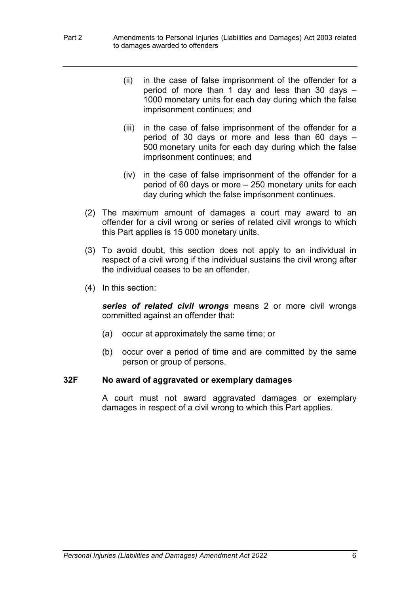- (ii) in the case of false imprisonment of the offender for a period of more than 1 day and less than 30 days – 1000 monetary units for each day during which the false imprisonment continues; and
- (iii) in the case of false imprisonment of the offender for a period of 30 days or more and less than 60 days – 500 monetary units for each day during which the false imprisonment continues; and
- (iv) in the case of false imprisonment of the offender for a period of 60 days or more – 250 monetary units for each day during which the false imprisonment continues.
- (2) The maximum amount of damages a court may award to an offender for a civil wrong or series of related civil wrongs to which this Part applies is 15 000 monetary units.
- (3) To avoid doubt, this section does not apply to an individual in respect of a civil wrong if the individual sustains the civil wrong after the individual ceases to be an offender.
- (4) In this section:

*series of related civil wrongs* means 2 or more civil wrongs committed against an offender that:

- (a) occur at approximately the same time; or
- (b) occur over a period of time and are committed by the same person or group of persons.

#### **32F No award of aggravated or exemplary damages**

A court must not award aggravated damages or exemplary damages in respect of a civil wrong to which this Part applies.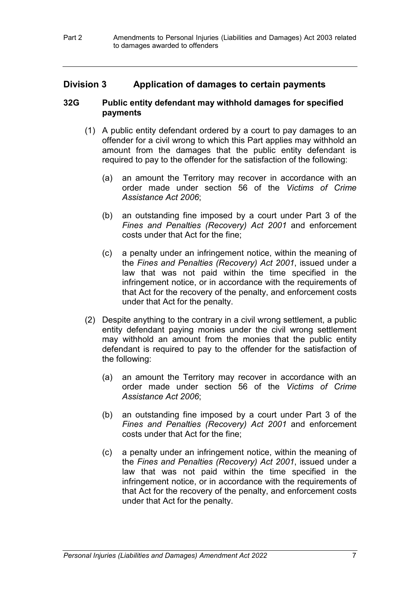# **Division 3 Application of damages to certain payments**

#### **32G Public entity defendant may withhold damages for specified payments**

- (1) A public entity defendant ordered by a court to pay damages to an offender for a civil wrong to which this Part applies may withhold an amount from the damages that the public entity defendant is required to pay to the offender for the satisfaction of the following:
	- (a) an amount the Territory may recover in accordance with an order made under section 56 of the *Victims of Crime Assistance Act 2006*;
	- (b) an outstanding fine imposed by a court under Part 3 of the *Fines and Penalties (Recovery) Act 2001* and enforcement costs under that Act for the fine;
	- (c) a penalty under an infringement notice, within the meaning of the *Fines and Penalties (Recovery) Act 2001*, issued under a law that was not paid within the time specified in the infringement notice, or in accordance with the requirements of that Act for the recovery of the penalty, and enforcement costs under that Act for the penalty.
- (2) Despite anything to the contrary in a civil wrong settlement, a public entity defendant paying monies under the civil wrong settlement may withhold an amount from the monies that the public entity defendant is required to pay to the offender for the satisfaction of the following:
	- (a) an amount the Territory may recover in accordance with an order made under section 56 of the *Victims of Crime Assistance Act 2006*;
	- (b) an outstanding fine imposed by a court under Part 3 of the *Fines and Penalties (Recovery) Act 2001* and enforcement costs under that Act for the fine;
	- (c) a penalty under an infringement notice, within the meaning of the *Fines and Penalties (Recovery) Act 2001*, issued under a law that was not paid within the time specified in the infringement notice, or in accordance with the requirements of that Act for the recovery of the penalty, and enforcement costs under that Act for the penalty.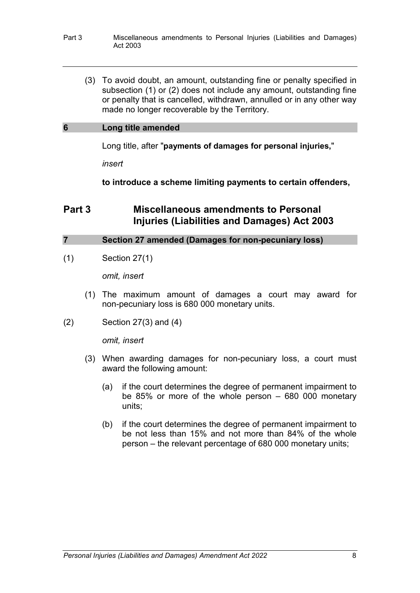- Part 3 Miscellaneous amendments to Personal Injuries (Liabilities and Damages) Act 2003
	- (3) To avoid doubt, an amount, outstanding fine or penalty specified in subsection (1) or (2) does not include any amount, outstanding fine or penalty that is cancelled, withdrawn, annulled or in any other way made no longer recoverable by the Territory.

#### **6 Long title amended**

Long title, after "**payments of damages for personal injuries,**"

*insert*

**to introduce a scheme limiting payments to certain offenders,**

# **Part 3 Miscellaneous amendments to Personal Injuries (Liabilities and Damages) Act 2003**

### **7 Section 27 amended (Damages for non-pecuniary loss)**

(1) Section 27(1)

*omit, insert*

- (1) The maximum amount of damages a court may award for non-pecuniary loss is 680 000 monetary units.
- (2) Section 27(3) and (4)

*omit, insert*

- (3) When awarding damages for non-pecuniary loss, a court must award the following amount:
	- (a) if the court determines the degree of permanent impairment to be 85% or more of the whole person – 680 000 monetary units;
	- (b) if the court determines the degree of permanent impairment to be not less than 15% and not more than 84% of the whole person – the relevant percentage of 680 000 monetary units;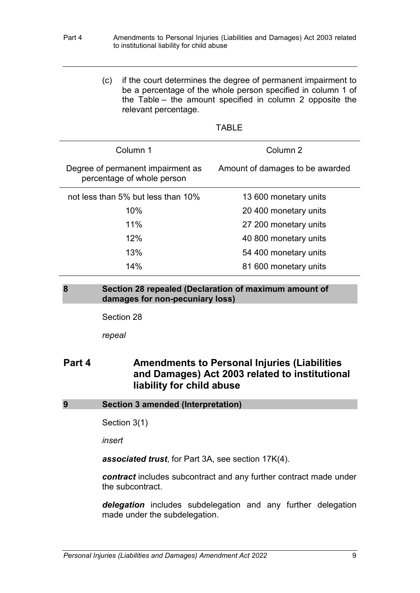| Part 4                                                          | Amendments to Personal Injuries (Liabilities and Damages) Act 2003 related<br>to institutional liability for child abuse |                           |                                                                                                                                                                                            |
|-----------------------------------------------------------------|--------------------------------------------------------------------------------------------------------------------------|---------------------------|--------------------------------------------------------------------------------------------------------------------------------------------------------------------------------------------|
|                                                                 | (c)                                                                                                                      | relevant percentage.      | if the court determines the degree of permanent impairment to<br>be a percentage of the whole person specified in column 1 of<br>the Table – the amount specified in column 2 opposite the |
|                                                                 |                                                                                                                          |                           | <b>TABLE</b>                                                                                                                                                                               |
| Column 1                                                        |                                                                                                                          |                           | Column <sub>2</sub>                                                                                                                                                                        |
| Degree of permanent impairment as<br>percentage of whole person |                                                                                                                          |                           | Amount of damages to be awarded                                                                                                                                                            |
| not less than 5% but less than 10%                              |                                                                                                                          |                           | 13 600 monetary units                                                                                                                                                                      |
|                                                                 |                                                                                                                          | 10%                       | 20 400 monetary units                                                                                                                                                                      |
|                                                                 |                                                                                                                          | 11%                       | 27 200 monetary units                                                                                                                                                                      |
|                                                                 |                                                                                                                          | 12%                       | 40 800 monetary units                                                                                                                                                                      |
|                                                                 |                                                                                                                          | 13%                       | 54 400 monetary units                                                                                                                                                                      |
|                                                                 |                                                                                                                          | 14%                       | 81 600 monetary units                                                                                                                                                                      |
| 8                                                               | Section 28 repealed (Declaration of maximum amount of<br>damages for non-pecuniary loss)                                 |                           |                                                                                                                                                                                            |
|                                                                 |                                                                                                                          | Section 28                |                                                                                                                                                                                            |
|                                                                 | repeal                                                                                                                   |                           |                                                                                                                                                                                            |
| Part 4                                                          |                                                                                                                          | liability for child abuse | <b>Amendments to Personal Injuries (Liabilities</b><br>and Damages) Act 2003 related to institutional                                                                                      |

#### **9 Section 3 amended (Interpretation)**

Section 3(1)

*insert*

*associated trust*, for Part 3A, see section 17K(4).

*contract* includes subcontract and any further contract made under the subcontract.

*delegation* includes subdelegation and any further delegation made under the subdelegation.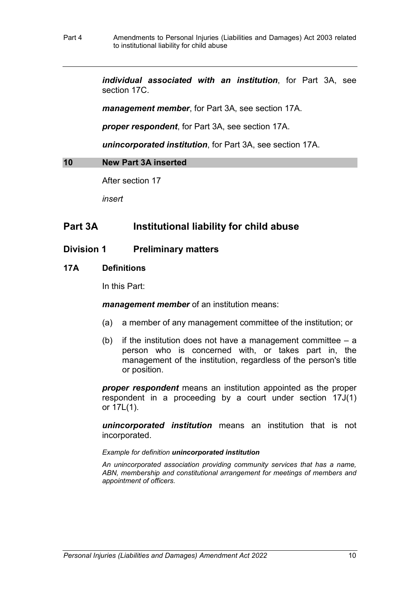*individual associated with an institution*, for Part 3A, see section 17C.

*management member*, for Part 3A, see section 17A.

*proper respondent*, for Part 3A, see section 17A.

*unincorporated institution*, for Part 3A, see section 17A.

#### **10 New Part 3A inserted**

After section 17

*insert*

# **Part 3A Institutional liability for child abuse**

### **Division 1 Preliminary matters**

#### **17A Definitions**

In this Part:

*management member* of an institution means:

- (a) a member of any management committee of the institution; or
- (b) if the institution does not have a management committee  $-$  a person who is concerned with, or takes part in, the management of the institution, regardless of the person's title or position.

*proper respondent* means an institution appointed as the proper respondent in a proceeding by a court under section 17J(1) or 17L(1).

*unincorporated institution* means an institution that is not incorporated.

*Example for definition unincorporated institution*

*An unincorporated association providing community services that has a name, ABN, membership and constitutional arrangement for meetings of members and appointment of officers.*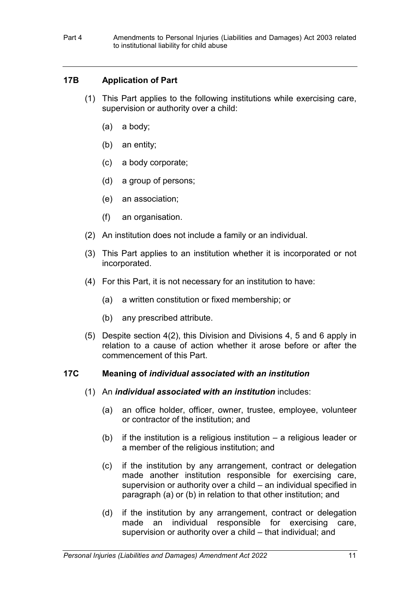## **17B Application of Part**

- (1) This Part applies to the following institutions while exercising care, supervision or authority over a child:
	- (a) a body;
	- (b) an entity;
	- (c) a body corporate;
	- (d) a group of persons;
	- (e) an association;
	- (f) an organisation.
- (2) An institution does not include a family or an individual.
- (3) This Part applies to an institution whether it is incorporated or not incorporated.
- (4) For this Part, it is not necessary for an institution to have:
	- (a) a written constitution or fixed membership; or
	- (b) any prescribed attribute.
- (5) Despite section 4(2), this Division and Divisions 4, 5 and 6 apply in relation to a cause of action whether it arose before or after the commencement of this Part.

# **17C Meaning of** *individual associated with an institution*

- (1) An *individual associated with an institution* includes:
	- (a) an office holder, officer, owner, trustee, employee, volunteer or contractor of the institution; and
	- (b) if the institution is a religious institution a religious leader or a member of the religious institution; and
	- (c) if the institution by any arrangement, contract or delegation made another institution responsible for exercising care, supervision or authority over a child – an individual specified in paragraph (a) or (b) in relation to that other institution; and
	- (d) if the institution by any arrangement, contract or delegation made an individual responsible for exercising care, supervision or authority over a child – that individual; and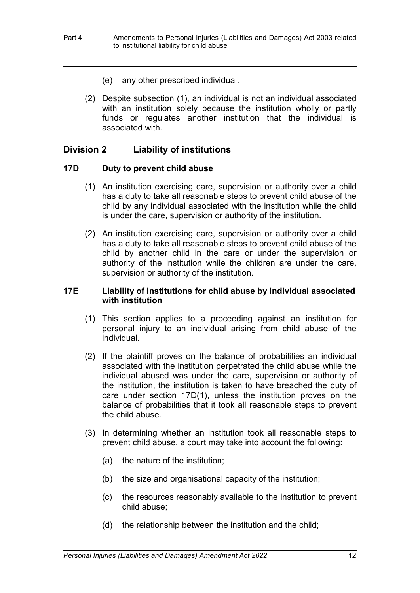- (e) any other prescribed individual.
- (2) Despite subsection (1), an individual is not an individual associated with an institution solely because the institution wholly or partly funds or regulates another institution that the individual is associated with.

## **Division 2 Liability of institutions**

#### **17D Duty to prevent child abuse**

- (1) An institution exercising care, supervision or authority over a child has a duty to take all reasonable steps to prevent child abuse of the child by any individual associated with the institution while the child is under the care, supervision or authority of the institution.
- (2) An institution exercising care, supervision or authority over a child has a duty to take all reasonable steps to prevent child abuse of the child by another child in the care or under the supervision or authority of the institution while the children are under the care, supervision or authority of the institution.

#### **17E Liability of institutions for child abuse by individual associated with institution**

- (1) This section applies to a proceeding against an institution for personal injury to an individual arising from child abuse of the individual.
- (2) If the plaintiff proves on the balance of probabilities an individual associated with the institution perpetrated the child abuse while the individual abused was under the care, supervision or authority of the institution, the institution is taken to have breached the duty of care under section 17D(1), unless the institution proves on the balance of probabilities that it took all reasonable steps to prevent the child abuse.
- (3) In determining whether an institution took all reasonable steps to prevent child abuse, a court may take into account the following:
	- (a) the nature of the institution;
	- (b) the size and organisational capacity of the institution;
	- (c) the resources reasonably available to the institution to prevent child abuse;
	- (d) the relationship between the institution and the child;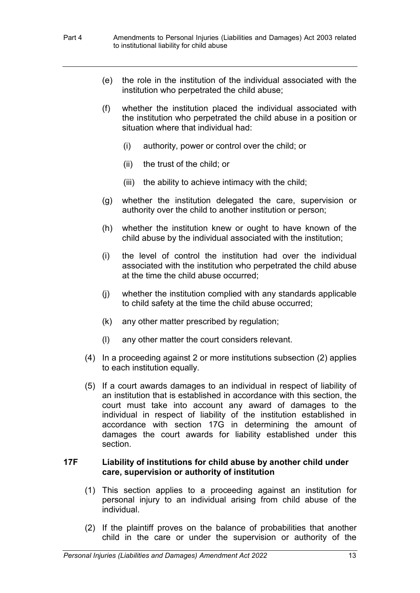- (e) the role in the institution of the individual associated with the institution who perpetrated the child abuse;
- (f) whether the institution placed the individual associated with the institution who perpetrated the child abuse in a position or situation where that individual had:
	- (i) authority, power or control over the child; or
	- (ii) the trust of the child; or
	- (iii) the ability to achieve intimacy with the child;
- (g) whether the institution delegated the care, supervision or authority over the child to another institution or person;
- (h) whether the institution knew or ought to have known of the child abuse by the individual associated with the institution;
- (i) the level of control the institution had over the individual associated with the institution who perpetrated the child abuse at the time the child abuse occurred;
- (j) whether the institution complied with any standards applicable to child safety at the time the child abuse occurred;
- (k) any other matter prescribed by regulation;
- (l) any other matter the court considers relevant.
- (4) In a proceeding against 2 or more institutions subsection (2) applies to each institution equally.
- (5) If a court awards damages to an individual in respect of liability of an institution that is established in accordance with this section, the court must take into account any award of damages to the individual in respect of liability of the institution established in accordance with section 17G in determining the amount of damages the court awards for liability established under this section.

#### **17F Liability of institutions for child abuse by another child under care, supervision or authority of institution**

- (1) This section applies to a proceeding against an institution for personal injury to an individual arising from child abuse of the individual.
- (2) If the plaintiff proves on the balance of probabilities that another child in the care or under the supervision or authority of the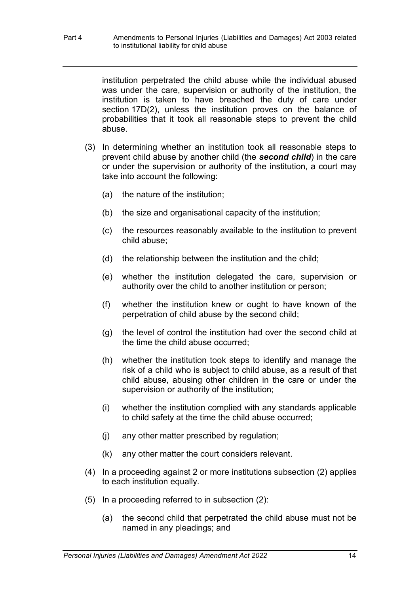institution perpetrated the child abuse while the individual abused was under the care, supervision or authority of the institution, the institution is taken to have breached the duty of care under section 17D(2), unless the institution proves on the balance of probabilities that it took all reasonable steps to prevent the child abuse.

- (3) In determining whether an institution took all reasonable steps to prevent child abuse by another child (the *second child*) in the care or under the supervision or authority of the institution, a court may take into account the following:
	- (a) the nature of the institution;
	- (b) the size and organisational capacity of the institution;
	- (c) the resources reasonably available to the institution to prevent child abuse;
	- (d) the relationship between the institution and the child;
	- (e) whether the institution delegated the care, supervision or authority over the child to another institution or person;
	- (f) whether the institution knew or ought to have known of the perpetration of child abuse by the second child;
	- (g) the level of control the institution had over the second child at the time the child abuse occurred;
	- (h) whether the institution took steps to identify and manage the risk of a child who is subject to child abuse, as a result of that child abuse, abusing other children in the care or under the supervision or authority of the institution;
	- (i) whether the institution complied with any standards applicable to child safety at the time the child abuse occurred;
	- (j) any other matter prescribed by regulation;
	- (k) any other matter the court considers relevant.
- (4) In a proceeding against 2 or more institutions subsection (2) applies to each institution equally.
- (5) In a proceeding referred to in subsection (2):
	- (a) the second child that perpetrated the child abuse must not be named in any pleadings; and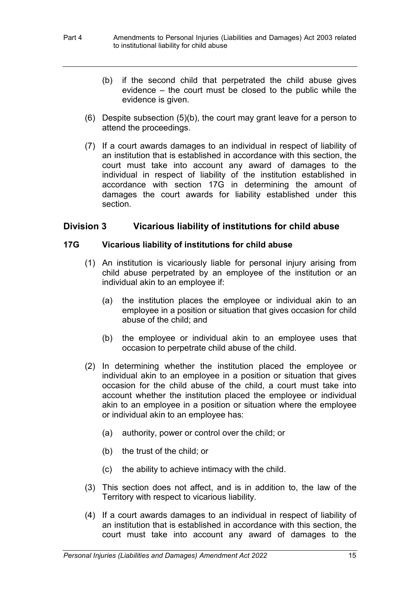- (b) if the second child that perpetrated the child abuse gives evidence – the court must be closed to the public while the evidence is given.
- (6) Despite subsection (5)(b), the court may grant leave for a person to attend the proceedings.
- (7) If a court awards damages to an individual in respect of liability of an institution that is established in accordance with this section, the court must take into account any award of damages to the individual in respect of liability of the institution established in accordance with section 17G in determining the amount of damages the court awards for liability established under this section.

# **Division 3 Vicarious liability of institutions for child abuse**

#### **17G Vicarious liability of institutions for child abuse**

- (1) An institution is vicariously liable for personal injury arising from child abuse perpetrated by an employee of the institution or an individual akin to an employee if:
	- (a) the institution places the employee or individual akin to an employee in a position or situation that gives occasion for child abuse of the child; and
	- (b) the employee or individual akin to an employee uses that occasion to perpetrate child abuse of the child.
- (2) In determining whether the institution placed the employee or individual akin to an employee in a position or situation that gives occasion for the child abuse of the child, a court must take into account whether the institution placed the employee or individual akin to an employee in a position or situation where the employee or individual akin to an employee has:
	- (a) authority, power or control over the child; or
	- (b) the trust of the child; or
	- (c) the ability to achieve intimacy with the child.
- (3) This section does not affect, and is in addition to, the law of the Territory with respect to vicarious liability.
- (4) If a court awards damages to an individual in respect of liability of an institution that is established in accordance with this section, the court must take into account any award of damages to the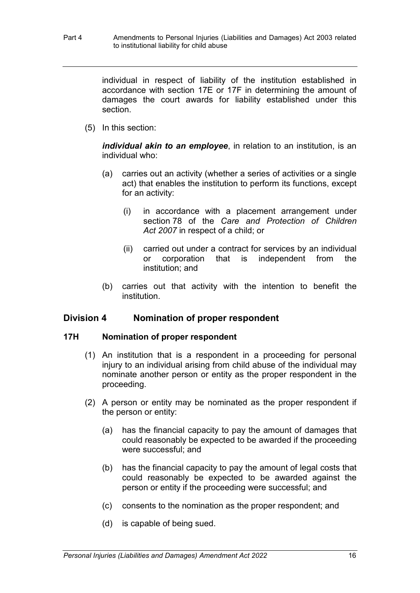individual in respect of liability of the institution established in accordance with section 17E or 17F in determining the amount of damages the court awards for liability established under this section.

(5) In this section:

*individual akin to an employee*, in relation to an institution, is an individual who:

- (a) carries out an activity (whether a series of activities or a single act) that enables the institution to perform its functions, except for an activity:
	- (i) in accordance with a placement arrangement under section 78 of the *Care and Protection of Children Act 2007* in respect of a child; or
	- (ii) carried out under a contract for services by an individual or corporation that is independent from the institution; and
- (b) carries out that activity with the intention to benefit the institution.

# **Division 4 Nomination of proper respondent**

#### **17H Nomination of proper respondent**

- (1) An institution that is a respondent in a proceeding for personal injury to an individual arising from child abuse of the individual may nominate another person or entity as the proper respondent in the proceeding.
- (2) A person or entity may be nominated as the proper respondent if the person or entity:
	- (a) has the financial capacity to pay the amount of damages that could reasonably be expected to be awarded if the proceeding were successful; and
	- (b) has the financial capacity to pay the amount of legal costs that could reasonably be expected to be awarded against the person or entity if the proceeding were successful; and
	- (c) consents to the nomination as the proper respondent; and
	- (d) is capable of being sued.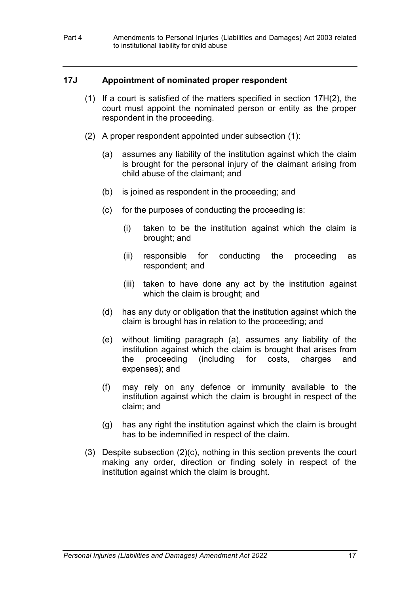# **17J Appointment of nominated proper respondent**

- (1) If a court is satisfied of the matters specified in section 17H(2), the court must appoint the nominated person or entity as the proper respondent in the proceeding.
- (2) A proper respondent appointed under subsection (1):
	- (a) assumes any liability of the institution against which the claim is brought for the personal injury of the claimant arising from child abuse of the claimant; and
	- (b) is joined as respondent in the proceeding; and
	- (c) for the purposes of conducting the proceeding is:
		- (i) taken to be the institution against which the claim is brought; and
		- (ii) responsible for conducting the proceeding as respondent; and
		- (iii) taken to have done any act by the institution against which the claim is brought; and
	- (d) has any duty or obligation that the institution against which the claim is brought has in relation to the proceeding; and
	- (e) without limiting paragraph (a), assumes any liability of the institution against which the claim is brought that arises from the proceeding (including for costs, charges and expenses); and
	- (f) may rely on any defence or immunity available to the institution against which the claim is brought in respect of the claim; and
	- (g) has any right the institution against which the claim is brought has to be indemnified in respect of the claim.
- (3) Despite subsection (2)(c), nothing in this section prevents the court making any order, direction or finding solely in respect of the institution against which the claim is brought.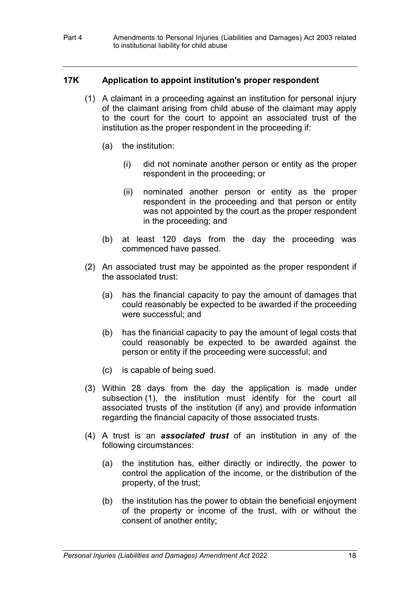## **17K Application to appoint institution's proper respondent**

- (1) A claimant in a proceeding against an institution for personal injury of the claimant arising from child abuse of the claimant may apply to the court for the court to appoint an associated trust of the institution as the proper respondent in the proceeding if:
	- (a) the institution:
		- (i) did not nominate another person or entity as the proper respondent in the proceeding; or
		- (ii) nominated another person or entity as the proper respondent in the proceeding and that person or entity was not appointed by the court as the proper respondent in the proceeding; and
	- (b) at least 120 days from the day the proceeding was commenced have passed.
- (2) An associated trust may be appointed as the proper respondent if the associated trust:
	- (a) has the financial capacity to pay the amount of damages that could reasonably be expected to be awarded if the proceeding were successful; and
	- (b) has the financial capacity to pay the amount of legal costs that could reasonably be expected to be awarded against the person or entity if the proceeding were successful; and
	- (c) is capable of being sued.
- (3) Within 28 days from the day the application is made under subsection (1), the institution must identify for the court all associated trusts of the institution (if any) and provide information regarding the financial capacity of those associated trusts.
- (4) A trust is an *associated trust* of an institution in any of the following circumstances:
	- (a) the institution has, either directly or indirectly, the power to control the application of the income, or the distribution of the property, of the trust;
	- (b) the institution has the power to obtain the beneficial enjoyment of the property or income of the trust, with or without the consent of another entity;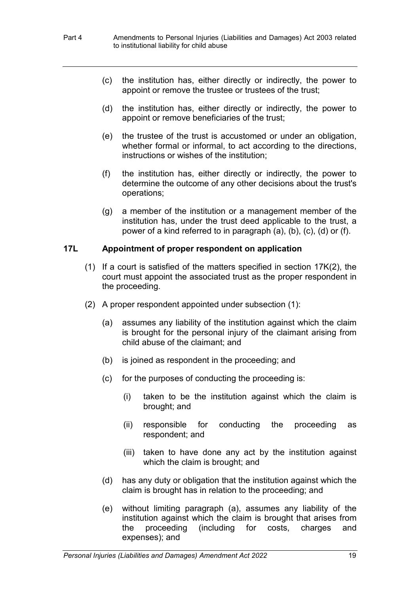- (c) the institution has, either directly or indirectly, the power to appoint or remove the trustee or trustees of the trust;
- (d) the institution has, either directly or indirectly, the power to appoint or remove beneficiaries of the trust;
- (e) the trustee of the trust is accustomed or under an obligation, whether formal or informal, to act according to the directions, instructions or wishes of the institution;
- (f) the institution has, either directly or indirectly, the power to determine the outcome of any other decisions about the trust's operations;
- (g) a member of the institution or a management member of the institution has, under the trust deed applicable to the trust, a power of a kind referred to in paragraph (a), (b), (c), (d) or (f).

### **17L Appointment of proper respondent on application**

- (1) If a court is satisfied of the matters specified in section 17K(2), the court must appoint the associated trust as the proper respondent in the proceeding.
- (2) A proper respondent appointed under subsection (1):
	- (a) assumes any liability of the institution against which the claim is brought for the personal injury of the claimant arising from child abuse of the claimant; and
	- (b) is joined as respondent in the proceeding; and
	- (c) for the purposes of conducting the proceeding is:
		- (i) taken to be the institution against which the claim is brought; and
		- (ii) responsible for conducting the proceeding as respondent; and
		- (iii) taken to have done any act by the institution against which the claim is brought; and
	- (d) has any duty or obligation that the institution against which the claim is brought has in relation to the proceeding; and
	- (e) without limiting paragraph (a), assumes any liability of the institution against which the claim is brought that arises from the proceeding (including for costs, charges and expenses); and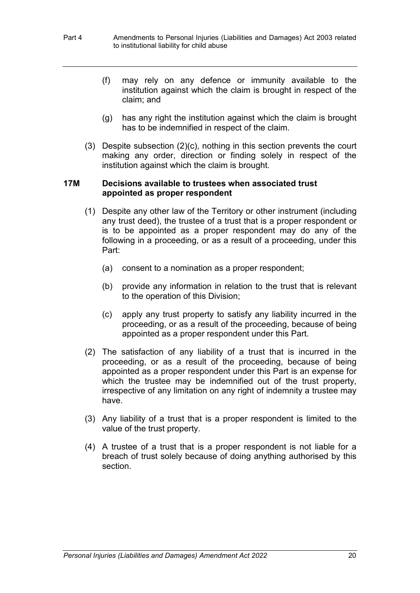- (f) may rely on any defence or immunity available to the institution against which the claim is brought in respect of the claim; and
- (g) has any right the institution against which the claim is brought has to be indemnified in respect of the claim.
- (3) Despite subsection (2)(c), nothing in this section prevents the court making any order, direction or finding solely in respect of the institution against which the claim is brought.

#### **17M Decisions available to trustees when associated trust appointed as proper respondent**

- (1) Despite any other law of the Territory or other instrument (including any trust deed), the trustee of a trust that is a proper respondent or is to be appointed as a proper respondent may do any of the following in a proceeding, or as a result of a proceeding, under this Part:
	- (a) consent to a nomination as a proper respondent;
	- (b) provide any information in relation to the trust that is relevant to the operation of this Division;
	- (c) apply any trust property to satisfy any liability incurred in the proceeding, or as a result of the proceeding, because of being appointed as a proper respondent under this Part.
- (2) The satisfaction of any liability of a trust that is incurred in the proceeding, or as a result of the proceeding, because of being appointed as a proper respondent under this Part is an expense for which the trustee may be indemnified out of the trust property, irrespective of any limitation on any right of indemnity a trustee may have.
- (3) Any liability of a trust that is a proper respondent is limited to the value of the trust property.
- (4) A trustee of a trust that is a proper respondent is not liable for a breach of trust solely because of doing anything authorised by this section.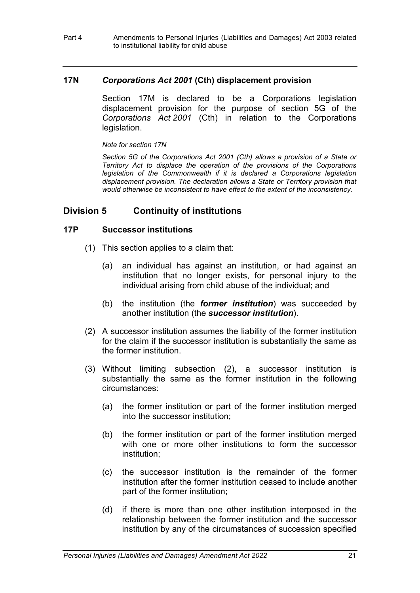#### **17N** *Corporations Act 2001* **(Cth) displacement provision**

 Section 17M is declared to be a Corporations legislation displacement provision for the purpose of section 5G of the *Corporations Act 2001* (Cth) in relation to the Corporations legislation.

*Note for section 17N*

*Section 5G of the Corporations Act 2001 (Cth) allows a provision of a State or Territory Act to displace the operation of the provisions of the Corporations legislation of the Commonwealth if it is declared a Corporations legislation displacement provision. The declaration allows a State or Territory provision that would otherwise be inconsistent to have effect to the extent of the inconsistency.* 

# **Division 5 Continuity of institutions**

#### **17P Successor institutions**

- (1) This section applies to a claim that:
	- (a) an individual has against an institution, or had against an institution that no longer exists, for personal injury to the individual arising from child abuse of the individual; and
	- (b) the institution (the *former institution*) was succeeded by another institution (the *successor institution*).
- (2) A successor institution assumes the liability of the former institution for the claim if the successor institution is substantially the same as the former institution.
- (3) Without limiting subsection (2), a successor institution is substantially the same as the former institution in the following circumstances:
	- (a) the former institution or part of the former institution merged into the successor institution;
	- (b) the former institution or part of the former institution merged with one or more other institutions to form the successor institution;
	- (c) the successor institution is the remainder of the former institution after the former institution ceased to include another part of the former institution;
	- (d) if there is more than one other institution interposed in the relationship between the former institution and the successor institution by any of the circumstances of succession specified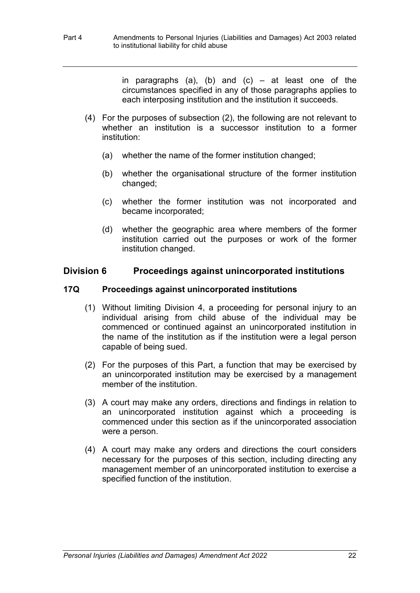in paragraphs (a), (b) and (c) – at least one of the circumstances specified in any of those paragraphs applies to each interposing institution and the institution it succeeds.

- (4) For the purposes of subsection (2), the following are not relevant to whether an institution is a successor institution to a former institution:
	- (a) whether the name of the former institution changed;
	- (b) whether the organisational structure of the former institution changed;
	- (c) whether the former institution was not incorporated and became incorporated;
	- (d) whether the geographic area where members of the former institution carried out the purposes or work of the former institution changed.

# **Division 6 Proceedings against unincorporated institutions**

### **17Q Proceedings against unincorporated institutions**

- (1) Without limiting Division 4, a proceeding for personal injury to an individual arising from child abuse of the individual may be commenced or continued against an unincorporated institution in the name of the institution as if the institution were a legal person capable of being sued.
- (2) For the purposes of this Part, a function that may be exercised by an unincorporated institution may be exercised by a management member of the institution.
- (3) A court may make any orders, directions and findings in relation to an unincorporated institution against which a proceeding is commenced under this section as if the unincorporated association were a person.
- (4) A court may make any orders and directions the court considers necessary for the purposes of this section, including directing any management member of an unincorporated institution to exercise a specified function of the institution.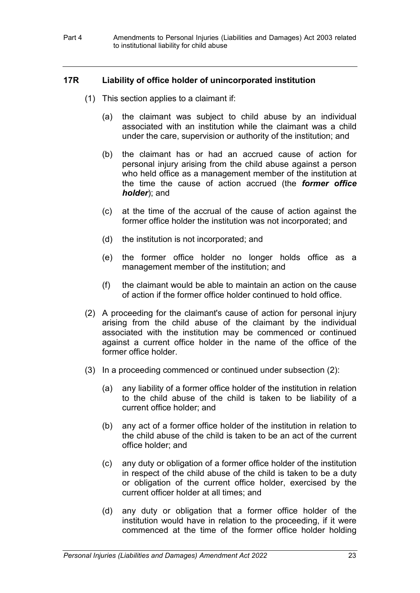## **17R Liability of office holder of unincorporated institution**

- (1) This section applies to a claimant if:
	- (a) the claimant was subject to child abuse by an individual associated with an institution while the claimant was a child under the care, supervision or authority of the institution; and
	- (b) the claimant has or had an accrued cause of action for personal injury arising from the child abuse against a person who held office as a management member of the institution at the time the cause of action accrued (the *former office holder*); and
	- (c) at the time of the accrual of the cause of action against the former office holder the institution was not incorporated; and
	- (d) the institution is not incorporated; and
	- (e) the former office holder no longer holds office as a management member of the institution; and
	- (f) the claimant would be able to maintain an action on the cause of action if the former office holder continued to hold office.
- (2) A proceeding for the claimant's cause of action for personal injury arising from the child abuse of the claimant by the individual associated with the institution may be commenced or continued against a current office holder in the name of the office of the former office holder.
- (3) In a proceeding commenced or continued under subsection (2):
	- (a) any liability of a former office holder of the institution in relation to the child abuse of the child is taken to be liability of a current office holder; and
	- (b) any act of a former office holder of the institution in relation to the child abuse of the child is taken to be an act of the current office holder; and
	- (c) any duty or obligation of a former office holder of the institution in respect of the child abuse of the child is taken to be a duty or obligation of the current office holder, exercised by the current officer holder at all times; and
	- (d) any duty or obligation that a former office holder of the institution would have in relation to the proceeding, if it were commenced at the time of the former office holder holding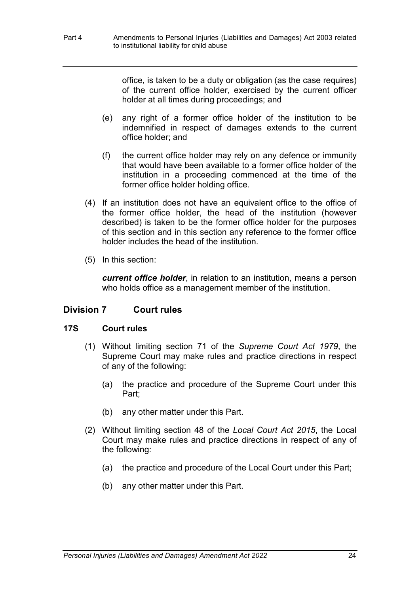office, is taken to be a duty or obligation (as the case requires) of the current office holder, exercised by the current officer holder at all times during proceedings; and

- (e) any right of a former office holder of the institution to be indemnified in respect of damages extends to the current office holder; and
- (f) the current office holder may rely on any defence or immunity that would have been available to a former office holder of the institution in a proceeding commenced at the time of the former office holder holding office.
- (4) If an institution does not have an equivalent office to the office of the former office holder, the head of the institution (however described) is taken to be the former office holder for the purposes of this section and in this section any reference to the former office holder includes the head of the institution.
- (5) In this section:

*current office holder*, in relation to an institution, means a person who holds office as a management member of the institution.

# **Division 7 Court rules**

#### **17S Court rules**

- (1) Without limiting section 71 of the *Supreme Court Act 1979*, the Supreme Court may make rules and practice directions in respect of any of the following:
	- (a) the practice and procedure of the Supreme Court under this Part;
	- (b) any other matter under this Part.
- (2) Without limiting section 48 of the *Local Court Act 2015*, the Local Court may make rules and practice directions in respect of any of the following:
	- (a) the practice and procedure of the Local Court under this Part;
	- (b) any other matter under this Part.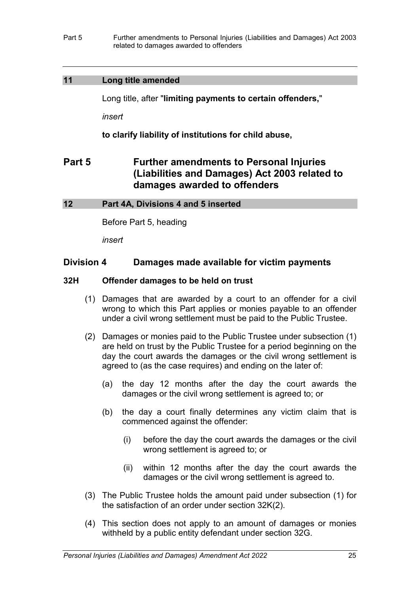### **11 Long title amended**

Long title, after "**limiting payments to certain offenders,**"

*insert*

**to clarify liability of institutions for child abuse,**

# **Part 5 Further amendments to Personal Injuries (Liabilities and Damages) Act 2003 related to damages awarded to offenders**

#### **12 Part 4A, Divisions 4 and 5 inserted**

Before Part 5, heading

*insert*

### **Division 4 Damages made available for victim payments**

#### **32H Offender damages to be held on trust**

- (1) Damages that are awarded by a court to an offender for a civil wrong to which this Part applies or monies payable to an offender under a civil wrong settlement must be paid to the Public Trustee.
- (2) Damages or monies paid to the Public Trustee under subsection (1) are held on trust by the Public Trustee for a period beginning on the day the court awards the damages or the civil wrong settlement is agreed to (as the case requires) and ending on the later of:
	- (a) the day 12 months after the day the court awards the damages or the civil wrong settlement is agreed to; or
	- (b) the day a court finally determines any victim claim that is commenced against the offender:
		- (i) before the day the court awards the damages or the civil wrong settlement is agreed to; or
		- (ii) within 12 months after the day the court awards the damages or the civil wrong settlement is agreed to.
- (3) The Public Trustee holds the amount paid under subsection (1) for the satisfaction of an order under section 32K(2).
- (4) This section does not apply to an amount of damages or monies withheld by a public entity defendant under section 32G.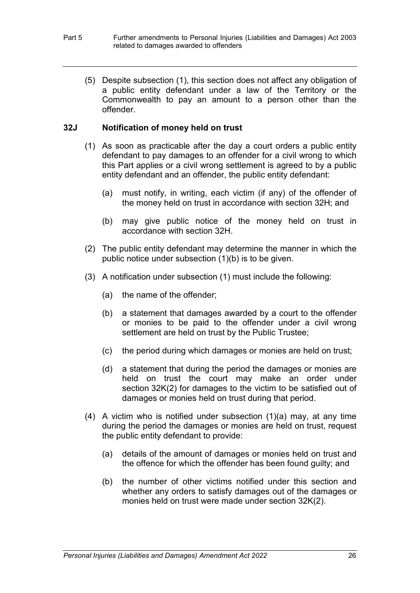(5) Despite subsection (1), this section does not affect any obligation of a public entity defendant under a law of the Territory or the Commonwealth to pay an amount to a person other than the offender.

### **32J Notification of money held on trust**

- (1) As soon as practicable after the day a court orders a public entity defendant to pay damages to an offender for a civil wrong to which this Part applies or a civil wrong settlement is agreed to by a public entity defendant and an offender, the public entity defendant:
	- (a) must notify, in writing, each victim (if any) of the offender of the money held on trust in accordance with section 32H; and
	- (b) may give public notice of the money held on trust in accordance with section 32H.
- (2) The public entity defendant may determine the manner in which the public notice under subsection (1)(b) is to be given.
- (3) A notification under subsection (1) must include the following:
	- (a) the name of the offender;
	- (b) a statement that damages awarded by a court to the offender or monies to be paid to the offender under a civil wrong settlement are held on trust by the Public Trustee;
	- (c) the period during which damages or monies are held on trust;
	- (d) a statement that during the period the damages or monies are held on trust the court may make an order under section 32K(2) for damages to the victim to be satisfied out of damages or monies held on trust during that period.
- (4) A victim who is notified under subsection (1)(a) may, at any time during the period the damages or monies are held on trust, request the public entity defendant to provide:
	- (a) details of the amount of damages or monies held on trust and the offence for which the offender has been found guilty; and
	- (b) the number of other victims notified under this section and whether any orders to satisfy damages out of the damages or monies held on trust were made under section 32K(2).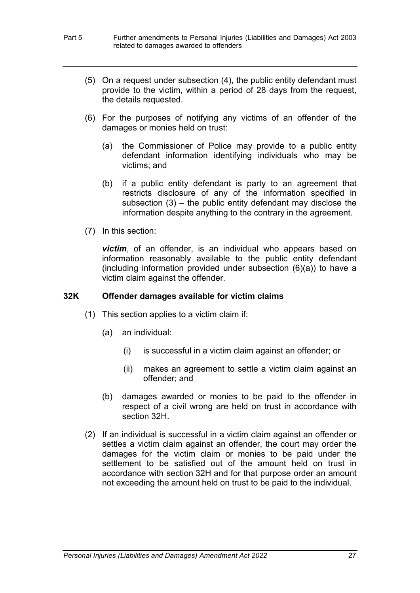- (5) On a request under subsection (4), the public entity defendant must provide to the victim, within a period of 28 days from the request, the details requested.
- (6) For the purposes of notifying any victims of an offender of the damages or monies held on trust:
	- (a) the Commissioner of Police may provide to a public entity defendant information identifying individuals who may be victims; and
	- (b) if a public entity defendant is party to an agreement that restricts disclosure of any of the information specified in subsection (3) – the public entity defendant may disclose the information despite anything to the contrary in the agreement.
- (7) In this section:

*victim*, of an offender, is an individual who appears based on information reasonably available to the public entity defendant (including information provided under subsection (6)(a)) to have a victim claim against the offender.

#### **32K Offender damages available for victim claims**

- (1) This section applies to a victim claim if:
	- (a) an individual:
		- (i) is successful in a victim claim against an offender; or
		- (ii) makes an agreement to settle a victim claim against an offender; and
	- (b) damages awarded or monies to be paid to the offender in respect of a civil wrong are held on trust in accordance with section 32H.
- (2) If an individual is successful in a victim claim against an offender or settles a victim claim against an offender, the court may order the damages for the victim claim or monies to be paid under the settlement to be satisfied out of the amount held on trust in accordance with section 32H and for that purpose order an amount not exceeding the amount held on trust to be paid to the individual.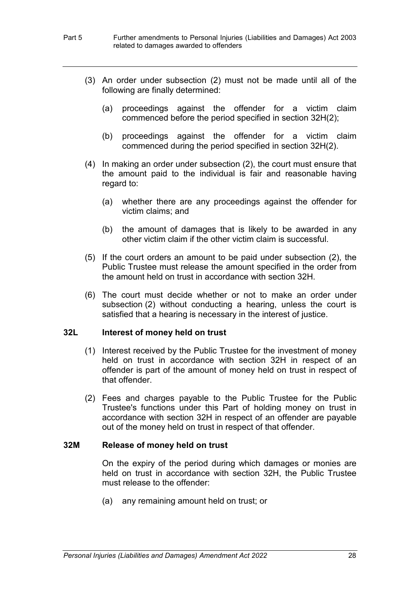- (3) An order under subsection (2) must not be made until all of the following are finally determined:
	- (a) proceedings against the offender for a victim claim commenced before the period specified in section 32H(2);
	- (b) proceedings against the offender for a victim claim commenced during the period specified in section 32H(2).
- (4) In making an order under subsection (2), the court must ensure that the amount paid to the individual is fair and reasonable having regard to:
	- (a) whether there are any proceedings against the offender for victim claims; and
	- (b) the amount of damages that is likely to be awarded in any other victim claim if the other victim claim is successful.
- (5) If the court orders an amount to be paid under subsection (2), the Public Trustee must release the amount specified in the order from the amount held on trust in accordance with section 32H.
- (6) The court must decide whether or not to make an order under subsection (2) without conducting a hearing, unless the court is satisfied that a hearing is necessary in the interest of justice.

#### **32L Interest of money held on trust**

- (1) Interest received by the Public Trustee for the investment of money held on trust in accordance with section 32H in respect of an offender is part of the amount of money held on trust in respect of that offender.
- (2) Fees and charges payable to the Public Trustee for the Public Trustee's functions under this Part of holding money on trust in accordance with section 32H in respect of an offender are payable out of the money held on trust in respect of that offender.

#### **32M Release of money held on trust**

On the expiry of the period during which damages or monies are held on trust in accordance with section 32H, the Public Trustee must release to the offender:

(a) any remaining amount held on trust; or